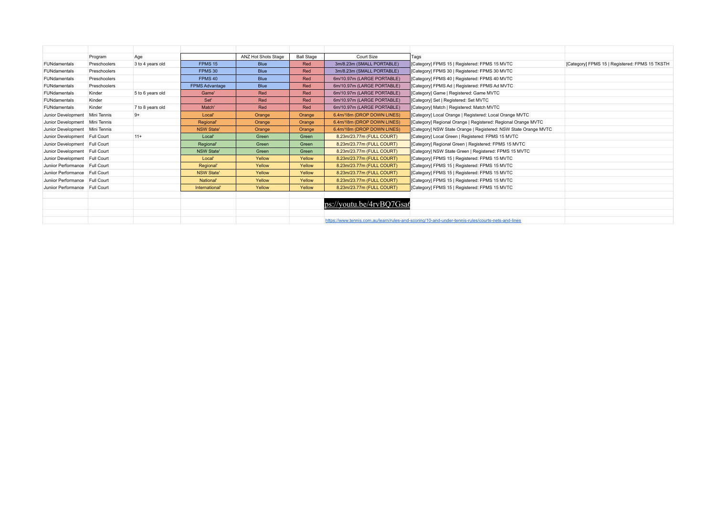|                                | Program      | Age              |                       | ANZ Hot Shots Stage | <b>Ball Stage</b> | Court Size                 | Tags                                                                                              |                                                |
|--------------------------------|--------------|------------------|-----------------------|---------------------|-------------------|----------------------------|---------------------------------------------------------------------------------------------------|------------------------------------------------|
| FUNdamentals                   | Preschoolers | 3 to 4 years old | FPMS <sub>15</sub>    | <b>Blue</b>         | Red               | 3m/8.23m (SMALL PORTABLE)  | [Category] FPMS 15   Registered: FPMS 15 MVTC                                                     | [Category] FPMS 15   Registered: FPMS 15 TKSTH |
| FUNdamentals                   | Preschoolers |                  | FPMS 30               | Blue                | Red               | 3m/8.23m (SMALL PORTABLE)  | [Category] FPMS 30   Registered: FPMS 30 MVTC                                                     |                                                |
| FUNdamentals                   | Preschoolers |                  | FPMS <sub>40</sub>    | Blue                | Red               | 6m/10.97m (LARGE PORTABLE) | [Category] FPMS 40   Registered: FPMS 40 MVTC                                                     |                                                |
| FUNdamentals                   | Preschoolers |                  | <b>FPMS Advantage</b> | <b>Blue</b>         | Red               | 6m/10.97m (LARGE PORTABLE) | [Category] FPMS Ad   Registered: FPMS Ad MVTC                                                     |                                                |
| FUNdamentals                   | Kinder       | 5 to 6 years old | Game'                 | Red                 | Red               | 6m/10.97m (LARGE PORTABLE) | [Category] Game   Registered: Game MVTC                                                           |                                                |
| FUNdamentals                   | Kinder       |                  | Set'                  | Red                 | Red               | 6m/10.97m (LARGE PORTABLE) | [Category] Set   Registered: Set MVTC                                                             |                                                |
| FUNdamentals                   | Kinder       | 7 to 8 years old | Match'                | Red                 | Red               | 6m/10.97m (LARGE PORTABLE) | [Category] Match   Registered: Match MVTC                                                         |                                                |
| Junior Development             | Mini Tennis  | $9+$             | Local'                | Orange              | Orange            | 6.4m/18m (DROP DOWN LINES) | [Category] Local Orange   Registered: Local Orange MVTC                                           |                                                |
| Junior Development             | Mini Tennis  |                  | Regional'             | Orange              | Orange            | 6.4m/18m (DROP DOWN LINES) | [Category] Regional Orange   Registered: Regional Orange MVTC                                     |                                                |
| Junior Development Mini Tennis |              |                  | <b>NSW State'</b>     | Orange              | Orange            | 6.4m/18m (DROP DOWN LINES) | [Category] NSW State Orange   Registered: NSW State Orange MVTC                                   |                                                |
| Junior Development Full Court  |              | $11 +$           | Local'                | Green               | Green             | 8.23m/23.77m (FULL COURT)  | [Category] Local Green   Registered: FPMS 15 MVTC                                                 |                                                |
| Junior Development Full Court  |              |                  | Regional'             | Green               | Green             | 8.23m/23.77m (FULL COURT)  | [Category] Regional Green   Registered: FPMS 15 MVTC                                              |                                                |
| Junior Development Full Court  |              |                  | <b>NSW State'</b>     | Green               | Green             | 8.23m/23.77m (FULL COURT)  | [Category] NSW State Green   Registered: FPMS 15 MVTC                                             |                                                |
| Junior Development Full Court  |              |                  | Local'                | Yellow              | Yellow            | 8.23m/23.77m (FULL COURT)  | [Category] FPMS 15   Registered: FPMS 15 MVTC                                                     |                                                |
| Juniior Performance Full Court |              |                  | Regional'             | Yellow              | Yellow            | 8.23m/23.77m (FULL COURT)  | [Category] FPMS 15   Registered: FPMS 15 MVTC                                                     |                                                |
| Junijor Performance Full Court |              |                  | <b>NSW State'</b>     | Yellow              | Yellow            | 8.23m/23.77m (FULL COURT)  | [Category] FPMS 15   Registered: FPMS 15 MVTC                                                     |                                                |
| Junijor Performance Full Court |              |                  | National'             | Yellow              | Yellow            | 8.23m/23.77m (FULL COURT)  | [Category] FPMS 15   Registered: FPMS 15 MVTC                                                     |                                                |
| Juniior Performance Full Court |              |                  | International'        | Yellow              | Yellow            | 8.23m/23.77m (FULL COURT)  | [Category] FPMS 15   Registered: FPMS 15 MVTC                                                     |                                                |
|                                |              |                  |                       |                     |                   |                            |                                                                                                   |                                                |
|                                |              |                  |                       |                     |                   | ps://youtu.be/4rvBQ7Gsa6   |                                                                                                   |                                                |
|                                |              |                  |                       |                     |                   |                            |                                                                                                   |                                                |
|                                |              |                  |                       |                     |                   |                            | https://www.tennis.com.au/learn/rules-and-scoring/10-and-under-tennis-rules/courts-nets-and-lines |                                                |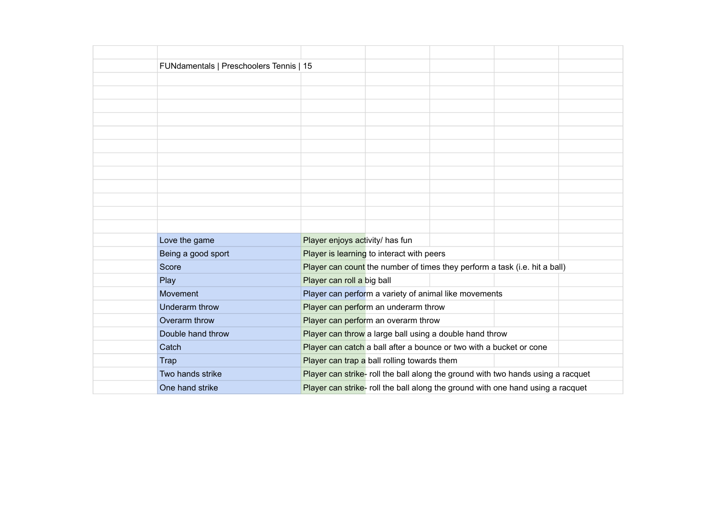| FUNdamentals   Preschoolers Tennis   15 |                                 |                                             |                                                                                  |  |
|-----------------------------------------|---------------------------------|---------------------------------------------|----------------------------------------------------------------------------------|--|
|                                         |                                 |                                             |                                                                                  |  |
|                                         |                                 |                                             |                                                                                  |  |
|                                         |                                 |                                             |                                                                                  |  |
|                                         |                                 |                                             |                                                                                  |  |
|                                         |                                 |                                             |                                                                                  |  |
|                                         |                                 |                                             |                                                                                  |  |
|                                         |                                 |                                             |                                                                                  |  |
|                                         |                                 |                                             |                                                                                  |  |
|                                         |                                 |                                             |                                                                                  |  |
|                                         |                                 |                                             |                                                                                  |  |
|                                         |                                 |                                             |                                                                                  |  |
|                                         |                                 |                                             |                                                                                  |  |
| Love the game                           | Player enjoys activity/ has fun |                                             |                                                                                  |  |
| Being a good sport                      |                                 | Player is learning to interact with peers   |                                                                                  |  |
| Score                                   |                                 |                                             | Player can count the number of times they perform a task (i.e. hit a ball)       |  |
| Play                                    | Player can roll a big ball      |                                             |                                                                                  |  |
| Movement                                |                                 |                                             | Player can perform a variety of animal like movements                            |  |
| Underarm throw                          |                                 | Player can perform an underarm throw        |                                                                                  |  |
| Overarm throw                           |                                 | Player can perform an overarm throw         |                                                                                  |  |
| Double hand throw                       |                                 |                                             | Player can throw a large ball using a double hand throw                          |  |
| Catch                                   |                                 |                                             | Player can catch a ball after a bounce or two with a bucket or cone              |  |
| <b>Trap</b>                             |                                 | Player can trap a ball rolling towards them |                                                                                  |  |
| Two hands strike                        |                                 |                                             | Player can strike- roll the ball along the ground with two hands using a racquet |  |
| One hand strike                         |                                 |                                             | Player can strike- roll the ball along the ground with one hand using a racquet  |  |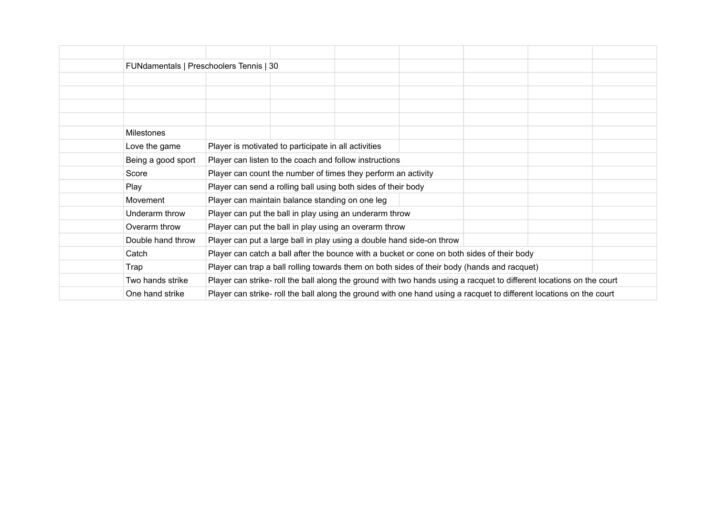| FUNdamentals   Preschoolers Tennis   30 |                                                      |                                                                                                                      |  |  |
|-----------------------------------------|------------------------------------------------------|----------------------------------------------------------------------------------------------------------------------|--|--|
|                                         |                                                      |                                                                                                                      |  |  |
|                                         |                                                      |                                                                                                                      |  |  |
|                                         |                                                      |                                                                                                                      |  |  |
|                                         |                                                      |                                                                                                                      |  |  |
| <b>Milestones</b>                       |                                                      |                                                                                                                      |  |  |
| Love the game                           | Player is motivated to participate in all activities |                                                                                                                      |  |  |
| Being a good sport                      |                                                      | Player can listen to the coach and follow instructions                                                               |  |  |
| Score                                   |                                                      | Player can count the number of times they perform an activity                                                        |  |  |
| Play                                    |                                                      | Player can send a rolling ball using both sides of their body                                                        |  |  |
| Movement                                | Player can maintain balance standing on one leg      |                                                                                                                      |  |  |
| Underarm throw                          |                                                      | Player can put the ball in play using an underarm throw                                                              |  |  |
| Overarm throw                           |                                                      | Player can put the ball in play using an overarm throw                                                               |  |  |
| Double hand throw                       |                                                      | Player can put a large ball in play using a double hand side-on throw                                                |  |  |
| Catch                                   |                                                      | Player can catch a ball after the bounce with a bucket or cone on both sides of their body                           |  |  |
| Trap                                    |                                                      | Player can trap a ball rolling towards them on both sides of their body (hands and racquet)                          |  |  |
| Two hands strike                        |                                                      | Player can strike- roll the ball along the ground with two hands using a racquet to different locations on the court |  |  |
| One hand strike                         |                                                      | Player can strike- roll the ball along the ground with one hand using a racquet to different locations on the court  |  |  |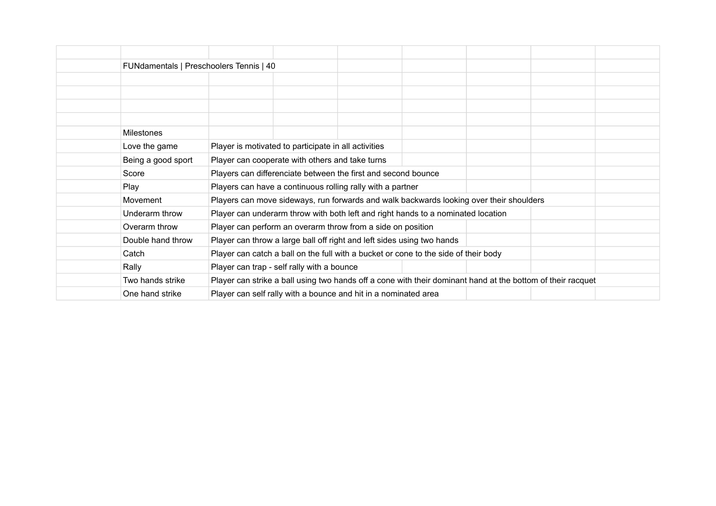|                    | FUNdamentals   Preschoolers Tennis   40    |                                                                                                             |  |  |  |  |  |  |  |  |  |
|--------------------|--------------------------------------------|-------------------------------------------------------------------------------------------------------------|--|--|--|--|--|--|--|--|--|
|                    |                                            |                                                                                                             |  |  |  |  |  |  |  |  |  |
|                    |                                            |                                                                                                             |  |  |  |  |  |  |  |  |  |
|                    |                                            |                                                                                                             |  |  |  |  |  |  |  |  |  |
|                    |                                            |                                                                                                             |  |  |  |  |  |  |  |  |  |
| <b>Milestones</b>  |                                            |                                                                                                             |  |  |  |  |  |  |  |  |  |
| Love the game      |                                            | Player is motivated to participate in all activities                                                        |  |  |  |  |  |  |  |  |  |
| Being a good sport |                                            | Player can cooperate with others and take turns                                                             |  |  |  |  |  |  |  |  |  |
| Score              |                                            | Players can differenciate between the first and second bounce                                               |  |  |  |  |  |  |  |  |  |
| Play               |                                            | Players can have a continuous rolling rally with a partner                                                  |  |  |  |  |  |  |  |  |  |
| Movement           |                                            | Players can move sideways, run forwards and walk backwards looking over their shoulders                     |  |  |  |  |  |  |  |  |  |
| Underarm throw     |                                            | Player can underarm throw with both left and right hands to a nominated location                            |  |  |  |  |  |  |  |  |  |
| Overarm throw      |                                            | Player can perform an overarm throw from a side on position                                                 |  |  |  |  |  |  |  |  |  |
| Double hand throw  |                                            | Player can throw a large ball off right and left sides using two hands                                      |  |  |  |  |  |  |  |  |  |
| Catch              |                                            | Player can catch a ball on the full with a bucket or cone to the side of their body                         |  |  |  |  |  |  |  |  |  |
| Rally              | Player can trap - self rally with a bounce |                                                                                                             |  |  |  |  |  |  |  |  |  |
| Two hands strike   |                                            | Player can strike a ball using two hands off a cone with their dominant hand at the bottom of their racquet |  |  |  |  |  |  |  |  |  |
| One hand strike    |                                            | Player can self rally with a bounce and hit in a nominated area                                             |  |  |  |  |  |  |  |  |  |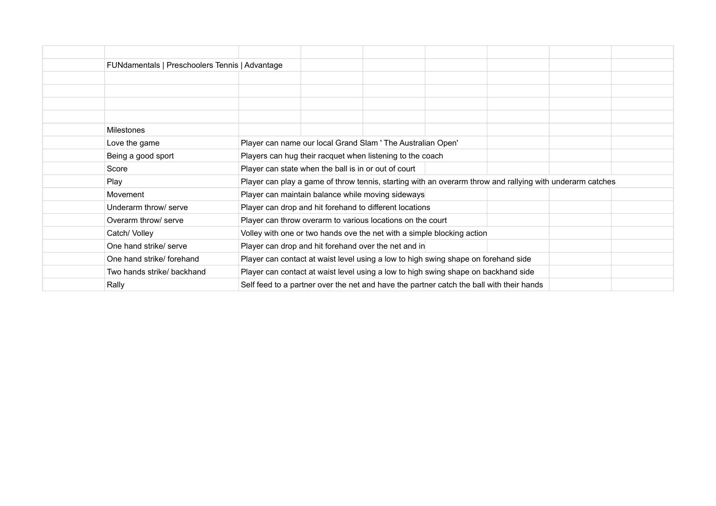| FUNdamentals   Preschoolers Tennis   Advantage |                                                                                                           |  |  |  |
|------------------------------------------------|-----------------------------------------------------------------------------------------------------------|--|--|--|
|                                                |                                                                                                           |  |  |  |
|                                                |                                                                                                           |  |  |  |
|                                                |                                                                                                           |  |  |  |
|                                                |                                                                                                           |  |  |  |
| <b>Milestones</b>                              |                                                                                                           |  |  |  |
| Love the game                                  | Player can name our local Grand Slam ' The Australian Open'                                               |  |  |  |
| Being a good sport                             | Players can hug their racquet when listening to the coach                                                 |  |  |  |
| Score                                          | Player can state when the ball is in or out of court                                                      |  |  |  |
| Play                                           | Player can play a game of throw tennis, starting with an overarm throw and rallying with underarm catches |  |  |  |
| Movement                                       | Player can maintain balance while moving sideways                                                         |  |  |  |
| Underarm throw/ serve                          | Player can drop and hit forehand to different locations                                                   |  |  |  |
| Overarm throw/ serve                           | Player can throw overarm to various locations on the court                                                |  |  |  |
| Catch/ Volley                                  | Volley with one or two hands ove the net with a simple blocking action                                    |  |  |  |
| One hand strike/ serve                         | Player can drop and hit forehand over the net and in                                                      |  |  |  |
| One hand strike/ forehand                      | Player can contact at waist level using a low to high swing shape on forehand side                        |  |  |  |
| Two hands strike/ backhand                     | Player can contact at waist level using a low to high swing shape on backhand side                        |  |  |  |
| Rally                                          | Self feed to a partner over the net and have the partner catch the ball with their hands                  |  |  |  |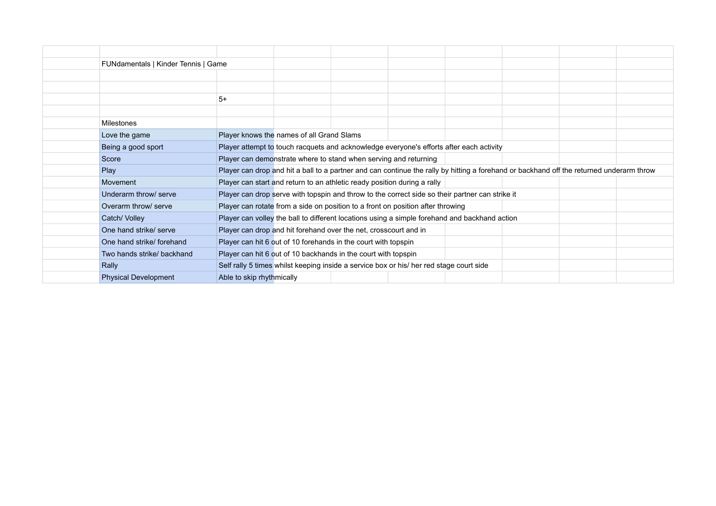| FUNdamentals   Kinder Tennis   Game |                                           |                                                                  |                                                                                                                                          |  |  |
|-------------------------------------|-------------------------------------------|------------------------------------------------------------------|------------------------------------------------------------------------------------------------------------------------------------------|--|--|
|                                     |                                           |                                                                  |                                                                                                                                          |  |  |
|                                     |                                           |                                                                  |                                                                                                                                          |  |  |
|                                     | $5+$                                      |                                                                  |                                                                                                                                          |  |  |
|                                     |                                           |                                                                  |                                                                                                                                          |  |  |
| <b>Milestones</b>                   |                                           |                                                                  |                                                                                                                                          |  |  |
| Love the game                       | Player knows the names of all Grand Slams |                                                                  |                                                                                                                                          |  |  |
| Being a good sport                  |                                           |                                                                  | Player attempt to touch racquets and acknowledge everyone's efforts after each activity                                                  |  |  |
| Score                               |                                           | Player can demonstrate where to stand when serving and returning |                                                                                                                                          |  |  |
| Play                                |                                           |                                                                  | Player can drop and hit a ball to a partner and can continue the rally by hitting a forehand or backhand off the returned underarm throw |  |  |
| Movement                            |                                           |                                                                  | Player can start and return to an athletic ready position during a rally                                                                 |  |  |
| Underarm throw/ serve               |                                           |                                                                  | Player can drop serve with topspin and throw to the correct side so their partner can strike it                                          |  |  |
| Overarm throw/ serve                |                                           |                                                                  | Player can rotate from a side on position to a front on position after throwing                                                          |  |  |
| Catch/ Volley                       |                                           |                                                                  | Player can volley the ball to different locations using a simple forehand and backhand action                                            |  |  |
| One hand strike/ serve              |                                           | Player can drop and hit forehand over the net, crosscourt and in |                                                                                                                                          |  |  |
| One hand strike/ forehand           |                                           | Player can hit 6 out of 10 forehands in the court with topspin   |                                                                                                                                          |  |  |
| Two hands strike/ backhand          |                                           | Player can hit 6 out of 10 backhands in the court with topspin   |                                                                                                                                          |  |  |
| Rally                               |                                           |                                                                  | Self rally 5 times whilst keeping inside a service box or his/ her red stage court side                                                  |  |  |
| <b>Physical Development</b>         | Able to skip rhythmically                 |                                                                  |                                                                                                                                          |  |  |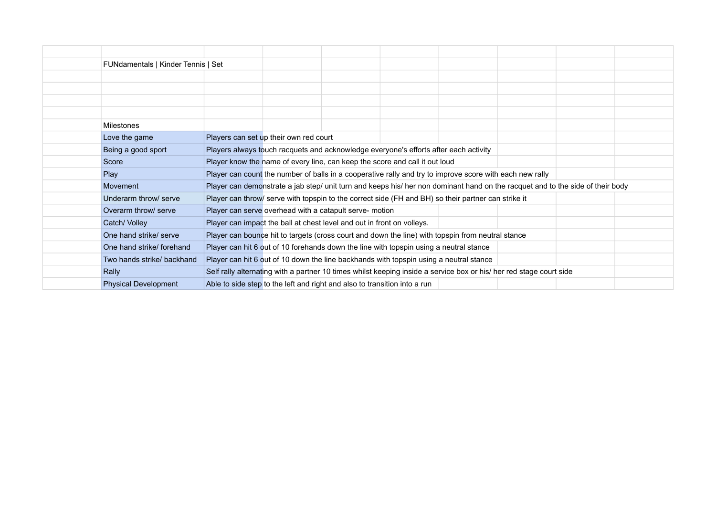| FUNdamentals   Kinder Tennis   Set |                                                                                                          |                                                                             |  |                                                                                                                                |  |  |  |  |
|------------------------------------|----------------------------------------------------------------------------------------------------------|-----------------------------------------------------------------------------|--|--------------------------------------------------------------------------------------------------------------------------------|--|--|--|--|
|                                    |                                                                                                          |                                                                             |  |                                                                                                                                |  |  |  |  |
|                                    |                                                                                                          |                                                                             |  |                                                                                                                                |  |  |  |  |
|                                    |                                                                                                          |                                                                             |  |                                                                                                                                |  |  |  |  |
|                                    |                                                                                                          |                                                                             |  |                                                                                                                                |  |  |  |  |
| Milestones                         |                                                                                                          |                                                                             |  |                                                                                                                                |  |  |  |  |
| Love the game                      | Players can set up their own red court                                                                   |                                                                             |  |                                                                                                                                |  |  |  |  |
| Being a good sport                 | Players always touch racquets and acknowledge everyone's efforts after each activity                     |                                                                             |  |                                                                                                                                |  |  |  |  |
| Score                              |                                                                                                          | Player know the name of every line, can keep the score and call it out loud |  |                                                                                                                                |  |  |  |  |
| Play                               | Player can count the number of balls in a cooperative rally and try to improve score with each new rally |                                                                             |  |                                                                                                                                |  |  |  |  |
| Movement                           |                                                                                                          |                                                                             |  | Player can demonstrate a jab step/ unit turn and keeps his/ her non dominant hand on the racquet and to the side of their body |  |  |  |  |
| Underarm throw/ serve              |                                                                                                          |                                                                             |  | Player can throw/ serve with topspin to the correct side (FH and BH) so their partner can strike it                            |  |  |  |  |
| Overarm throw/ serve               | Player can serve overhead with a catapult serve- motion                                                  |                                                                             |  |                                                                                                                                |  |  |  |  |
| Catch/Volley                       | Player can impact the ball at chest level and out in front on volleys.                                   |                                                                             |  |                                                                                                                                |  |  |  |  |
| One hand strike/ serve             |                                                                                                          |                                                                             |  | Player can bounce hit to targets (cross court and down the line) with topspin from neutral stance                              |  |  |  |  |
| One hand strike/forehand           | Player can hit 6 out of 10 forehands down the line with topspin using a neutral stance                   |                                                                             |  |                                                                                                                                |  |  |  |  |
| Two hands strike/ backhand         | Player can hit 6 out of 10 down the line backhands with topspin using a neutral stance                   |                                                                             |  |                                                                                                                                |  |  |  |  |
| Rally                              |                                                                                                          |                                                                             |  | Self rally alternating with a partner 10 times whilst keeping inside a service box or his/ her red stage court side            |  |  |  |  |
| <b>Physical Development</b>        | Able to side step to the left and right and also to transition into a run                                |                                                                             |  |                                                                                                                                |  |  |  |  |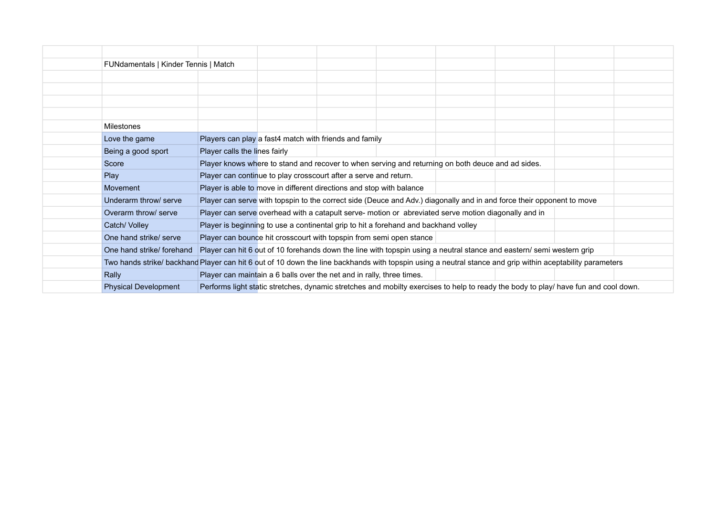| FUNdamentals   Kinder Tennis   Match                                                                                                                      |                               |                                                                                     |                                                                                                                                     |  |  |
|-----------------------------------------------------------------------------------------------------------------------------------------------------------|-------------------------------|-------------------------------------------------------------------------------------|-------------------------------------------------------------------------------------------------------------------------------------|--|--|
|                                                                                                                                                           |                               |                                                                                     |                                                                                                                                     |  |  |
|                                                                                                                                                           |                               |                                                                                     |                                                                                                                                     |  |  |
|                                                                                                                                                           |                               |                                                                                     |                                                                                                                                     |  |  |
|                                                                                                                                                           |                               |                                                                                     |                                                                                                                                     |  |  |
| <b>Milestones</b>                                                                                                                                         |                               |                                                                                     |                                                                                                                                     |  |  |
| Love the game                                                                                                                                             |                               | Players can play a fast4 match with friends and family                              |                                                                                                                                     |  |  |
| Being a good sport                                                                                                                                        | Player calls the lines fairly |                                                                                     |                                                                                                                                     |  |  |
| Score                                                                                                                                                     |                               |                                                                                     | Player knows where to stand and recover to when serving and returning on both deuce and ad sides.                                   |  |  |
| Play                                                                                                                                                      |                               | Player can continue to play crosscourt after a serve and return.                    |                                                                                                                                     |  |  |
| Movement                                                                                                                                                  |                               | Player is able to move in different directions and stop with balance                |                                                                                                                                     |  |  |
| Underarm throw/ serve                                                                                                                                     |                               |                                                                                     | Player can serve with topspin to the correct side (Deuce and Adv.) diagonally and in and force their opponent to move               |  |  |
| Overarm throw/ serve                                                                                                                                      |                               |                                                                                     | Player can serve overhead with a catapult serve- motion or abreviated serve motion diagonally and in                                |  |  |
| Catch/ Volley                                                                                                                                             |                               | Player is beginning to use a continental grip to hit a forehand and backhand volley |                                                                                                                                     |  |  |
| One hand strike/ serve                                                                                                                                    |                               | Player can bounce hit crosscourt with topspin from semi open stance                 |                                                                                                                                     |  |  |
| One hand strike/forehand                                                                                                                                  |                               |                                                                                     | Player can hit 6 out of 10 forehands down the line with topspin using a neutral stance and eastern/ semi western grip               |  |  |
| Two hands strike/ backhand Player can hit 6 out of 10 down the line backhands with topspin using a neutral stance and grip within aceptability parameters |                               |                                                                                     |                                                                                                                                     |  |  |
| Rally                                                                                                                                                     |                               | Player can maintain a 6 balls over the net and in rally, three times.               |                                                                                                                                     |  |  |
| <b>Physical Development</b>                                                                                                                               |                               |                                                                                     | Performs light static stretches, dynamic stretches and mobilty exercises to help to ready the body to play/ have fun and cool down. |  |  |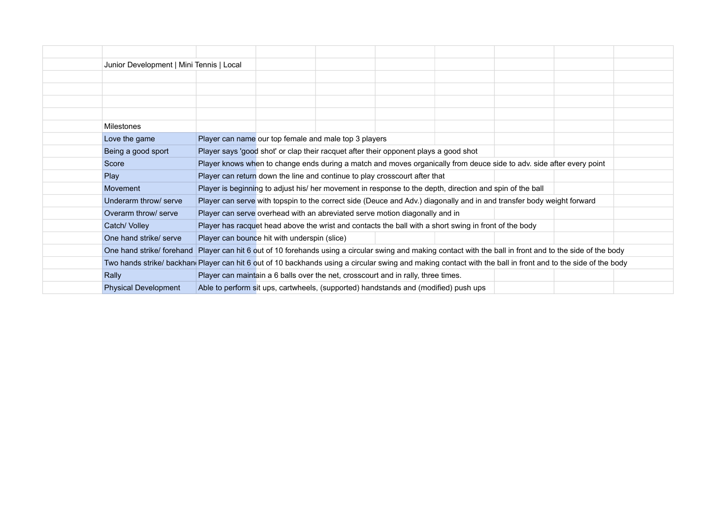| Junior Development   Mini Tennis   Local                                                                                                                   |                                                       |                                                                                      |                                                                                                                       |  |  |
|------------------------------------------------------------------------------------------------------------------------------------------------------------|-------------------------------------------------------|--------------------------------------------------------------------------------------|-----------------------------------------------------------------------------------------------------------------------|--|--|
|                                                                                                                                                            |                                                       |                                                                                      |                                                                                                                       |  |  |
|                                                                                                                                                            |                                                       |                                                                                      |                                                                                                                       |  |  |
|                                                                                                                                                            |                                                       |                                                                                      |                                                                                                                       |  |  |
|                                                                                                                                                            |                                                       |                                                                                      |                                                                                                                       |  |  |
| <b>Milestones</b>                                                                                                                                          |                                                       |                                                                                      |                                                                                                                       |  |  |
| Love the game                                                                                                                                              | Player can name our top female and male top 3 players |                                                                                      |                                                                                                                       |  |  |
| Being a good sport                                                                                                                                         |                                                       | Player says 'good shot' or clap their racquet after their opponent plays a good shot |                                                                                                                       |  |  |
| Score                                                                                                                                                      |                                                       |                                                                                      | Player knows when to change ends during a match and moves organically from deuce side to adv. side after every point  |  |  |
| Play                                                                                                                                                       |                                                       | Player can return down the line and continue to play crosscourt after that           |                                                                                                                       |  |  |
| Movement                                                                                                                                                   |                                                       |                                                                                      | Player is beginning to adjust his/ her movement in response to the depth, direction and spin of the ball              |  |  |
| Underarm throw/ serve                                                                                                                                      |                                                       |                                                                                      | Player can serve with topspin to the correct side (Deuce and Adv.) diagonally and in and transfer body weight forward |  |  |
| Overarm throw/ serve                                                                                                                                       |                                                       | Player can serve overhead with an abreviated serve motion diagonally and in          |                                                                                                                       |  |  |
| Catch/ Volley                                                                                                                                              |                                                       |                                                                                      | Player has racquet head above the wrist and contacts the ball with a short swing in front of the body                 |  |  |
| One hand strike/ serve                                                                                                                                     | Player can bounce hit with underspin (slice)          |                                                                                      |                                                                                                                       |  |  |
| One hand strike/forehand Player can hit 6 out of 10 forehands using a circular swing and making contact with the ball in front and to the side of the body |                                                       |                                                                                      |                                                                                                                       |  |  |
| Two hands strike/backhan Player can hit 6 out of 10 backhands using a circular swing and making contact with the ball in front and to the side of the body |                                                       |                                                                                      |                                                                                                                       |  |  |
| Rally                                                                                                                                                      |                                                       | Player can maintain a 6 balls over the net, crosscourt and in rally, three times.    |                                                                                                                       |  |  |
| <b>Physical Development</b>                                                                                                                                |                                                       | Able to perform sit ups, cartwheels, (supported) handstands and (modified) push ups  |                                                                                                                       |  |  |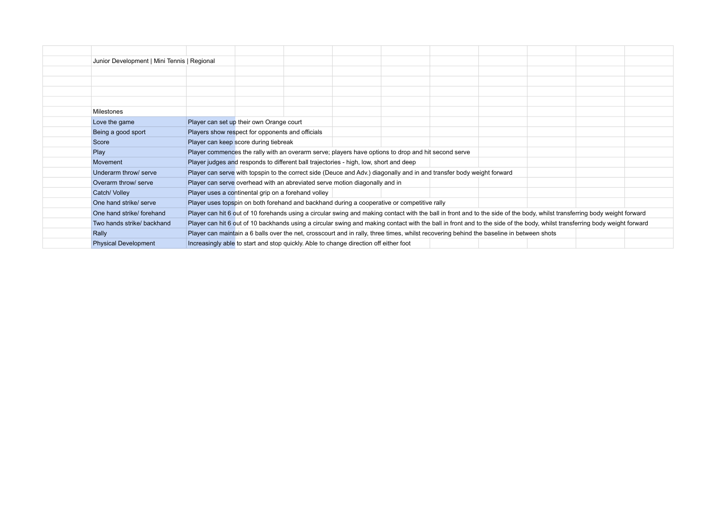| Junior Development   Mini Tennis   Regional |                                                                                                                                                                            |  |  |  |  |
|---------------------------------------------|----------------------------------------------------------------------------------------------------------------------------------------------------------------------------|--|--|--|--|
|                                             |                                                                                                                                                                            |  |  |  |  |
|                                             |                                                                                                                                                                            |  |  |  |  |
|                                             |                                                                                                                                                                            |  |  |  |  |
|                                             |                                                                                                                                                                            |  |  |  |  |
| Milestones                                  |                                                                                                                                                                            |  |  |  |  |
| Love the game                               | Player can set up their own Orange court                                                                                                                                   |  |  |  |  |
| Being a good sport                          | Players show respect for opponents and officials                                                                                                                           |  |  |  |  |
| Score                                       | Player can keep score during tiebreak                                                                                                                                      |  |  |  |  |
| Play                                        | Player commences the rally with an overarm serve; players have options to drop and hit second serve                                                                        |  |  |  |  |
| Movement                                    | Player judges and responds to different ball trajectories - high, low, short and deep                                                                                      |  |  |  |  |
| Underarm throw/ serve                       | Player can serve with topspin to the correct side (Deuce and Adv.) diagonally and in and transfer body weight forward                                                      |  |  |  |  |
| Overarm throw/ serve                        | Player can serve overhead with an abreviated serve motion diagonally and in                                                                                                |  |  |  |  |
| Catch/ Volley                               | Player uses a continental grip on a forehand volley                                                                                                                        |  |  |  |  |
| One hand strike/ serve                      | Player uses topspin on both forehand and backhand during a cooperative or competitive rally                                                                                |  |  |  |  |
| One hand strike/ forehand                   | Player can hit 6 out of 10 forehands using a circular swing and making contact with the ball in front and to the side of the body, whilst transferring body weight forward |  |  |  |  |
| Two hands strike/ backhand                  | Player can hit 6 out of 10 backhands using a circular swing and making contact with the ball in front and to the side of the body, whilst transferring body weight forward |  |  |  |  |
| Rally                                       | Player can maintain a 6 balls over the net, crosscourt and in rally, three times, whilst recovering behind the baseline in between shots                                   |  |  |  |  |
| <b>Physical Development</b>                 | Increasingly able to start and stop quickly. Able to change direction off either foot                                                                                      |  |  |  |  |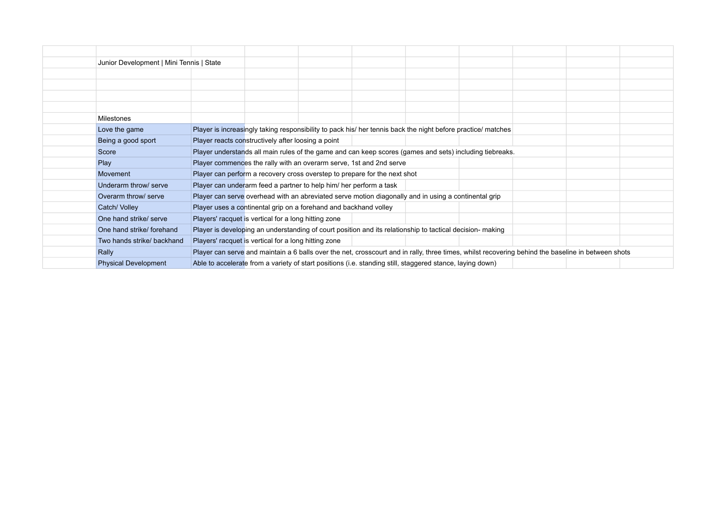| Junior Development   Mini Tennis   State |                                                                                                                                                    |  |
|------------------------------------------|----------------------------------------------------------------------------------------------------------------------------------------------------|--|
|                                          |                                                                                                                                                    |  |
|                                          |                                                                                                                                                    |  |
|                                          |                                                                                                                                                    |  |
|                                          |                                                                                                                                                    |  |
| <b>Milestones</b>                        |                                                                                                                                                    |  |
| Love the game                            | Player is increasingly taking responsibility to pack his/ her tennis back the night before practice/ matches                                       |  |
| Being a good sport                       | Player reacts constructively after loosing a point                                                                                                 |  |
| Score                                    | Player understands all main rules of the game and can keep scores (games and sets) including tiebreaks.                                            |  |
| Play                                     | Player commences the rally with an overarm serve, 1st and 2nd serve                                                                                |  |
| Movement                                 | Player can perform a recovery cross overstep to prepare for the next shot                                                                          |  |
| Underarm throw/ serve                    | Player can underarm feed a partner to help him/ her perform a task                                                                                 |  |
| Overarm throw/ serve                     | Player can serve overhead with an abreviated serve motion diagonally and in using a continental grip                                               |  |
| Catch/ Volley                            | Player uses a continental grip on a forehand and backhand volley                                                                                   |  |
| One hand strike/ serve                   | Players' racquet is vertical for a long hitting zone                                                                                               |  |
| One hand strike/forehand                 | Player is developing an understanding of court position and its relationship to tactical decision- making                                          |  |
| Two hands strike/ backhand               | Players' racquet is vertical for a long hitting zone                                                                                               |  |
| Rally                                    | Player can serve and maintain a 6 balls over the net, crosscourt and in rally, three times, whilst recovering behind the baseline in between shots |  |
| <b>Physical Development</b>              | Able to accelerate from a variety of start positions (i.e. standing still, staggered stance, laying down)                                          |  |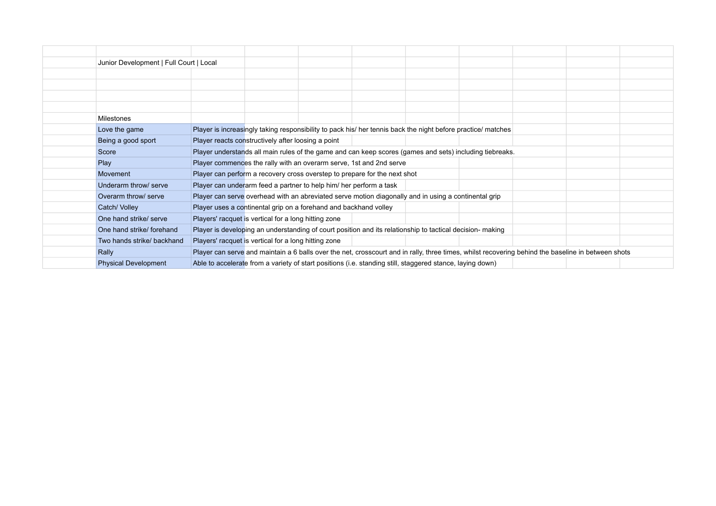| Junior Development   Full Court   Local |                                                                                                                                                    |  |
|-----------------------------------------|----------------------------------------------------------------------------------------------------------------------------------------------------|--|
|                                         |                                                                                                                                                    |  |
|                                         |                                                                                                                                                    |  |
|                                         |                                                                                                                                                    |  |
|                                         |                                                                                                                                                    |  |
| <b>Milestones</b>                       |                                                                                                                                                    |  |
| Love the game                           | Player is increasingly taking responsibility to pack his/ her tennis back the night before practice/ matches                                       |  |
| Being a good sport                      | Player reacts constructively after loosing a point                                                                                                 |  |
| Score                                   | Player understands all main rules of the game and can keep scores (games and sets) including tiebreaks.                                            |  |
| Play                                    | Player commences the rally with an overarm serve, 1st and 2nd serve                                                                                |  |
| Movement                                | Player can perform a recovery cross overstep to prepare for the next shot                                                                          |  |
| Underarm throw/ serve                   | Player can underarm feed a partner to help him/ her perform a task                                                                                 |  |
| Overarm throw/ serve                    | Player can serve overhead with an abreviated serve motion diagonally and in using a continental grip                                               |  |
| Catch/ Volley                           | Player uses a continental grip on a forehand and backhand volley                                                                                   |  |
| One hand strike/ serve                  | Players' racquet is vertical for a long hitting zone                                                                                               |  |
| One hand strike/forehand                | Player is developing an understanding of court position and its relationship to tactical decision- making                                          |  |
| Two hands strike/ backhand              | Players' racquet is vertical for a long hitting zone                                                                                               |  |
| Rally                                   | Player can serve and maintain a 6 balls over the net, crosscourt and in rally, three times, whilst recovering behind the baseline in between shots |  |
| <b>Physical Development</b>             | Able to accelerate from a variety of start positions (i.e. standing still, staggered stance, laying down)                                          |  |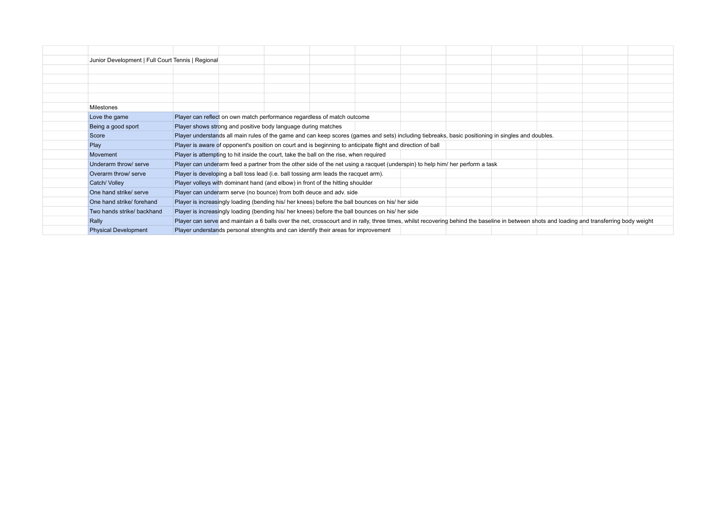| Junior Development   Full Court Tennis   Regional |                                                                                                                                                                                             |                                                                                                                                                   |  |  |  |  |  |  |  |
|---------------------------------------------------|---------------------------------------------------------------------------------------------------------------------------------------------------------------------------------------------|---------------------------------------------------------------------------------------------------------------------------------------------------|--|--|--|--|--|--|--|
|                                                   |                                                                                                                                                                                             |                                                                                                                                                   |  |  |  |  |  |  |  |
|                                                   |                                                                                                                                                                                             |                                                                                                                                                   |  |  |  |  |  |  |  |
|                                                   |                                                                                                                                                                                             |                                                                                                                                                   |  |  |  |  |  |  |  |
|                                                   |                                                                                                                                                                                             |                                                                                                                                                   |  |  |  |  |  |  |  |
| Milestones                                        |                                                                                                                                                                                             |                                                                                                                                                   |  |  |  |  |  |  |  |
| Love the game                                     | Player can reflect on own match performance regardless of match outcome                                                                                                                     |                                                                                                                                                   |  |  |  |  |  |  |  |
| Being a good sport                                | Player shows strong and positive body language during matches                                                                                                                               |                                                                                                                                                   |  |  |  |  |  |  |  |
| Score                                             |                                                                                                                                                                                             | Player understands all main rules of the game and can keep scores (games and sets) including tiebreaks, basic positioning in singles and doubles. |  |  |  |  |  |  |  |
| Play                                              | Player is aware of opponent's position on court and is beginning to anticipate flight and direction of ball                                                                                 |                                                                                                                                                   |  |  |  |  |  |  |  |
| Movement                                          | Player is attempting to hit inside the court, take the ball on the rise, when required                                                                                                      |                                                                                                                                                   |  |  |  |  |  |  |  |
| Underarm throw/ serve                             |                                                                                                                                                                                             | Player can underarm feed a partner from the other side of the net using a racquet (underspin) to help him/ her perform a task                     |  |  |  |  |  |  |  |
| Overarm throw/ serve                              | Player is developing a ball toss lead (i.e. ball tossing arm leads the racquet arm).                                                                                                        |                                                                                                                                                   |  |  |  |  |  |  |  |
| Catch/ Volley                                     | Player volleys with dominant hand (and elbow) in front of the hitting shoulder                                                                                                              |                                                                                                                                                   |  |  |  |  |  |  |  |
| One hand strike/ serve                            | Player can underarm serve (no bounce) from both deuce and adv. side                                                                                                                         |                                                                                                                                                   |  |  |  |  |  |  |  |
| One hand strike/ forehand                         | Player is increasingly loading (bending his/ her knees) before the ball bounces on his/ her side                                                                                            |                                                                                                                                                   |  |  |  |  |  |  |  |
| Two hands strike/ backhand                        | Player is increasingly loading (bending his/ her knees) before the ball bounces on his/ her side                                                                                            |                                                                                                                                                   |  |  |  |  |  |  |  |
| Rally                                             | Player can serve and maintain a 6 balls over the net, crosscourt and in rally, three times, whilst recovering behind the baseline in between shots and loading and transferring body weight |                                                                                                                                                   |  |  |  |  |  |  |  |
| <b>Physical Development</b>                       | Player understands personal strenghts and can identify their areas for improvement                                                                                                          |                                                                                                                                                   |  |  |  |  |  |  |  |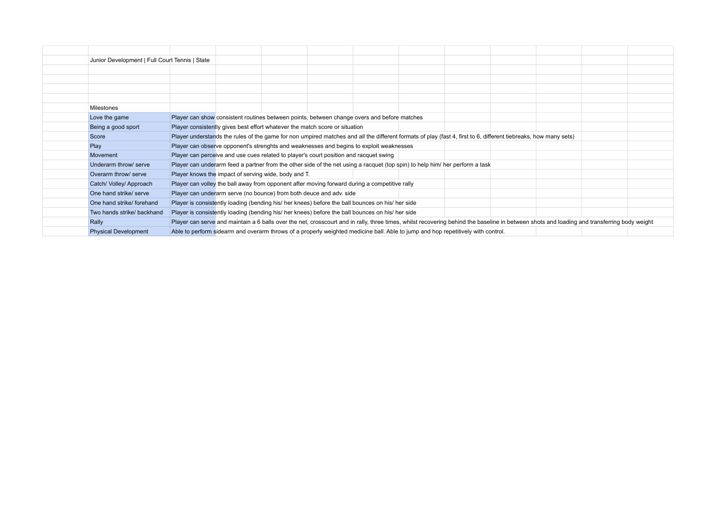| Junior Development   Full Court Tennis   State |                                                                                                                                                                                             |  |  |  |  |  |  |
|------------------------------------------------|---------------------------------------------------------------------------------------------------------------------------------------------------------------------------------------------|--|--|--|--|--|--|
|                                                |                                                                                                                                                                                             |  |  |  |  |  |  |
|                                                |                                                                                                                                                                                             |  |  |  |  |  |  |
|                                                |                                                                                                                                                                                             |  |  |  |  |  |  |
|                                                |                                                                                                                                                                                             |  |  |  |  |  |  |
| <b>Milestones</b>                              |                                                                                                                                                                                             |  |  |  |  |  |  |
| Love the game                                  | Player can show consistent routines between points, between change overs and before matches                                                                                                 |  |  |  |  |  |  |
| Being a good sport                             | Player consistently gives best effort whatever the match score or situation                                                                                                                 |  |  |  |  |  |  |
| Score                                          | Player understands the rules of the game for non umpired matches and all the different formats of play (fast 4, first to 6, different tiebreaks, how many sets)                             |  |  |  |  |  |  |
| Play                                           | Player can observe opponent's strenghts and weaknesses and begins to exploit weaknesses                                                                                                     |  |  |  |  |  |  |
| Movement                                       | Player can perceive and use cues related to player's court position and racquet swing                                                                                                       |  |  |  |  |  |  |
| Underarm throw/ serve                          | Player can underarm feed a partner from the other side of the net using a racquet (top spin) to help him/ her perform a task                                                                |  |  |  |  |  |  |
| Overarm throw/ serve                           | Player knows the impact of serving wide, body and T.                                                                                                                                        |  |  |  |  |  |  |
| Catch/ Volley/ Approach                        | Player can volley the ball away from opponent after moving forward during a competitive rally                                                                                               |  |  |  |  |  |  |
| One hand strike/ serve                         | Player can underarm serve (no bounce) from both deuce and adv. side                                                                                                                         |  |  |  |  |  |  |
| One hand strike/ forehand                      | Player is consistently loading (bending his/ her knees) before the ball bounces on his/ her side                                                                                            |  |  |  |  |  |  |
| Two hands strike/ backhand                     | Player is consistently loading (bending his/ her knees) before the ball bounces on his/ her side                                                                                            |  |  |  |  |  |  |
| Rally                                          | Player can serve and maintain a 6 balls over the net, crosscourt and in rally, three times, whilst recovering behind the baseline in between shots and loading and transferring body weight |  |  |  |  |  |  |
| <b>Physical Development</b>                    | Able to perform sidearm and overarm throws of a properly weighted medicine ball. Able to jump and hop repetitively with control.                                                            |  |  |  |  |  |  |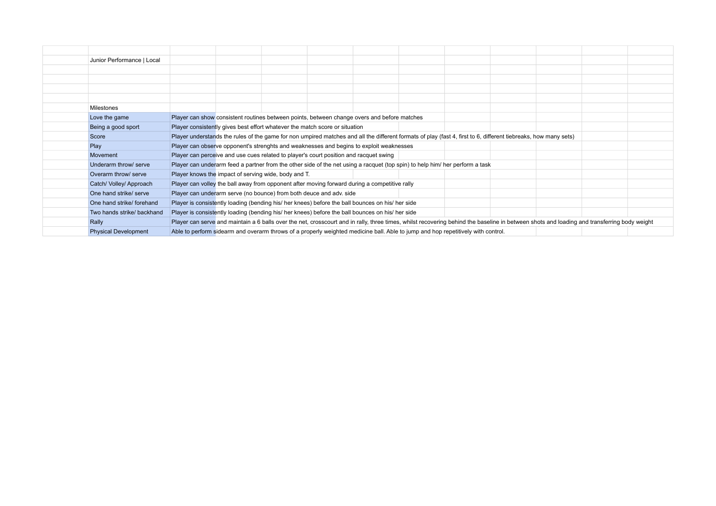| Junior Performance   Local  |                                                                                                                                                                                             |  |  |  |  |  |  |  |
|-----------------------------|---------------------------------------------------------------------------------------------------------------------------------------------------------------------------------------------|--|--|--|--|--|--|--|
|                             |                                                                                                                                                                                             |  |  |  |  |  |  |  |
|                             |                                                                                                                                                                                             |  |  |  |  |  |  |  |
|                             |                                                                                                                                                                                             |  |  |  |  |  |  |  |
|                             |                                                                                                                                                                                             |  |  |  |  |  |  |  |
| <b>Milestones</b>           |                                                                                                                                                                                             |  |  |  |  |  |  |  |
| Love the game               | Player can show consistent routines between points, between change overs and before matches                                                                                                 |  |  |  |  |  |  |  |
| Being a good sport          | Player consistently gives best effort whatever the match score or situation                                                                                                                 |  |  |  |  |  |  |  |
| Score                       | Player understands the rules of the game for non umpired matches and all the different formats of play (fast 4, first to 6, different tiebreaks, how many sets)                             |  |  |  |  |  |  |  |
| Play                        | Player can observe opponent's strenghts and weaknesses and begins to exploit weaknesses                                                                                                     |  |  |  |  |  |  |  |
| Movement                    | Player can perceive and use cues related to player's court position and racquet swing                                                                                                       |  |  |  |  |  |  |  |
| Underarm throw/ serve       | Player can underarm feed a partner from the other side of the net using a racquet (top spin) to help him/ her perform a task                                                                |  |  |  |  |  |  |  |
| Overarm throw/ serve        | Player knows the impact of serving wide, body and T.                                                                                                                                        |  |  |  |  |  |  |  |
| Catch/ Volley/ Approach     | Player can volley the ball away from opponent after moving forward during a competitive rally                                                                                               |  |  |  |  |  |  |  |
| One hand strike/ serve      | Player can underarm serve (no bounce) from both deuce and adv. side                                                                                                                         |  |  |  |  |  |  |  |
| One hand strike/ forehand   | Player is consistently loading (bending his/ her knees) before the ball bounces on his/ her side                                                                                            |  |  |  |  |  |  |  |
| Two hands strike/ backhand  | Player is consistently loading (bending his/ her knees) before the ball bounces on his/ her side                                                                                            |  |  |  |  |  |  |  |
| Rally                       | Player can serve and maintain a 6 balls over the net, crosscourt and in rally, three times, whilst recovering behind the baseline in between shots and loading and transferring body weight |  |  |  |  |  |  |  |
| <b>Physical Development</b> | Able to perform sidearm and overarm throws of a properly weighted medicine ball. Able to jump and hop repetitively with control.                                                            |  |  |  |  |  |  |  |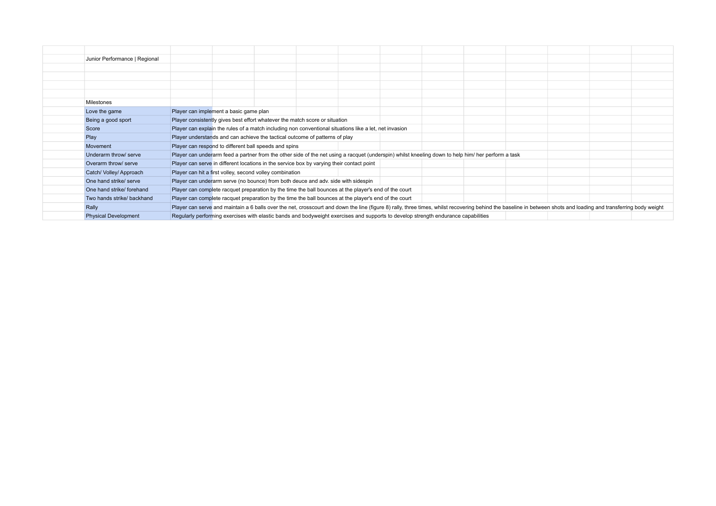| Junior Performance   Regional |                                                                                                                                    |                                                                                                        |                                                                                                                                                    |  |  |  |  |  |                                                                                                                                                                                                                   |  |
|-------------------------------|------------------------------------------------------------------------------------------------------------------------------------|--------------------------------------------------------------------------------------------------------|----------------------------------------------------------------------------------------------------------------------------------------------------|--|--|--|--|--|-------------------------------------------------------------------------------------------------------------------------------------------------------------------------------------------------------------------|--|
|                               |                                                                                                                                    |                                                                                                        |                                                                                                                                                    |  |  |  |  |  |                                                                                                                                                                                                                   |  |
|                               |                                                                                                                                    |                                                                                                        |                                                                                                                                                    |  |  |  |  |  |                                                                                                                                                                                                                   |  |
|                               |                                                                                                                                    |                                                                                                        |                                                                                                                                                    |  |  |  |  |  |                                                                                                                                                                                                                   |  |
|                               |                                                                                                                                    |                                                                                                        |                                                                                                                                                    |  |  |  |  |  |                                                                                                                                                                                                                   |  |
| Milestones                    |                                                                                                                                    |                                                                                                        |                                                                                                                                                    |  |  |  |  |  |                                                                                                                                                                                                                   |  |
| Love the game                 |                                                                                                                                    | Player can implement a basic game plan                                                                 |                                                                                                                                                    |  |  |  |  |  |                                                                                                                                                                                                                   |  |
| Being a good sport            |                                                                                                                                    |                                                                                                        | Player consistently gives best effort whatever the match score or situation                                                                        |  |  |  |  |  |                                                                                                                                                                                                                   |  |
| Score                         |                                                                                                                                    | Player can explain the rules of a match including non conventional situations like a let, net invasion |                                                                                                                                                    |  |  |  |  |  |                                                                                                                                                                                                                   |  |
| Play                          |                                                                                                                                    |                                                                                                        | Player understands and can achieve the tactical outcome of patterns of play                                                                        |  |  |  |  |  |                                                                                                                                                                                                                   |  |
| Movement                      |                                                                                                                                    |                                                                                                        | Player can respond to different ball speeds and spins                                                                                              |  |  |  |  |  |                                                                                                                                                                                                                   |  |
| Underarm throw/ serve         |                                                                                                                                    |                                                                                                        | Player can underarm feed a partner from the other side of the net using a racquet (underspin) whilst kneeling down to help him/ her perform a task |  |  |  |  |  |                                                                                                                                                                                                                   |  |
| Overarm throw/ serve          |                                                                                                                                    |                                                                                                        | Player can serve in different locations in the service box by varying their contact point                                                          |  |  |  |  |  |                                                                                                                                                                                                                   |  |
| Catch/ Volley/ Approach       |                                                                                                                                    |                                                                                                        | Player can hit a first volley, second volley combination                                                                                           |  |  |  |  |  |                                                                                                                                                                                                                   |  |
| One hand strike/ serve        |                                                                                                                                    |                                                                                                        | Player can underarm serve (no bounce) from both deuce and adv. side with sidespin                                                                  |  |  |  |  |  |                                                                                                                                                                                                                   |  |
| One hand strike/ forehand     |                                                                                                                                    |                                                                                                        | Player can complete racquet preparation by the time the ball bounces at the player's end of the court                                              |  |  |  |  |  |                                                                                                                                                                                                                   |  |
| Two hands strike/ backhand    |                                                                                                                                    |                                                                                                        | Player can complete racquet preparation by the time the ball bounces at the player's end of the court                                              |  |  |  |  |  |                                                                                                                                                                                                                   |  |
| Rally                         |                                                                                                                                    |                                                                                                        |                                                                                                                                                    |  |  |  |  |  | Player can serve and maintain a 6 balls over the net, crosscourt and down the line (figure 8) rally, three times, whilst recovering behind the baseline in between shots and loading and transferring body weight |  |
| <b>Physical Development</b>   | Regularly performing exercises with elastic bands and bodyweight exercises and supports to develop strength endurance capabilities |                                                                                                        |                                                                                                                                                    |  |  |  |  |  |                                                                                                                                                                                                                   |  |